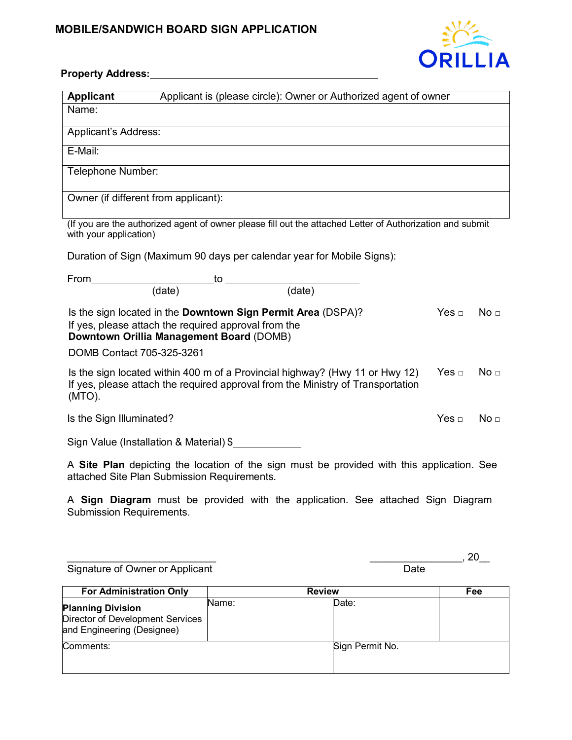## **MOBILE/SANDWICH BOARD SIGN APPLICATION**



## **Property Address:**

| Applicant is (please circle): Owner or Authorized agent of owner<br><b>Applicant</b>                                                                                                                          |            |                 |  |  |  |
|---------------------------------------------------------------------------------------------------------------------------------------------------------------------------------------------------------------|------------|-----------------|--|--|--|
| Name:                                                                                                                                                                                                         |            |                 |  |  |  |
| Applicant's Address:                                                                                                                                                                                          |            |                 |  |  |  |
| E-Mail:                                                                                                                                                                                                       |            |                 |  |  |  |
| Telephone Number:                                                                                                                                                                                             |            |                 |  |  |  |
| Owner (if different from applicant):                                                                                                                                                                          |            |                 |  |  |  |
| (If you are the authorized agent of owner please fill out the attached Letter of Authorization and submit<br>with your application)                                                                           |            |                 |  |  |  |
| Duration of Sign (Maximum 90 days per calendar year for Mobile Signs):                                                                                                                                        |            |                 |  |  |  |
| $\begin{array}{c c} \multicolumn{2}{c }{\text{to}} & \multicolumn{2}{c}{\text{to}} \\ \hline \multicolumn{2}{c }{(\text{date})} & & & \multicolumn{2}{c}{(\text{date})} \end{array}$<br>From                  |            |                 |  |  |  |
|                                                                                                                                                                                                               |            |                 |  |  |  |
| Is the sign located in the Downtown Sign Permit Area (DSPA)?<br>Yes $\Box$<br>No <sub>1</sub><br>If yes, please attach the required approval from the<br>Downtown Orillia Management Board (DOMB)             |            |                 |  |  |  |
| DOMB Contact 705-325-3261                                                                                                                                                                                     |            |                 |  |  |  |
| Is the sign located within 400 m of a Provincial highway? (Hwy 11 or Hwy 12)<br>Yes $\Box$<br>No <sub>1</sub><br>If yes, please attach the required approval from the Ministry of Transportation<br>$(MTO)$ . |            |                 |  |  |  |
| Is the Sign Illuminated?                                                                                                                                                                                      | Yes $\Box$ | No <sub>□</sub> |  |  |  |
| Sign Value (Installation & Material) \$                                                                                                                                                                       |            |                 |  |  |  |
| A Site Plan depicting the location of the sign must be provided with this application. See<br>attached Site Plan Submission Requirements.                                                                     |            |                 |  |  |  |

A **Sign Diagram** must be provided with the application. See attached Sign Diagram Submission Requirements.

Signature of Owner or Applicant

\_\_\_\_\_\_\_\_\_\_\_\_\_\_\_\_\_\_\_\_\_\_\_\_\_\_\_\_\_ \_\_\_\_\_\_\_\_\_\_\_\_\_\_\_\_\_\_, 20\_\_

| <b>For Administration Only</b>                                                             | <b>Review</b> |       | Fee             |  |
|--------------------------------------------------------------------------------------------|---------------|-------|-----------------|--|
| <b>Planning Division</b><br>Director of Development Services<br>and Engineering (Designee) | Name:         | Date: |                 |  |
| Comments:                                                                                  |               |       | Sign Permit No. |  |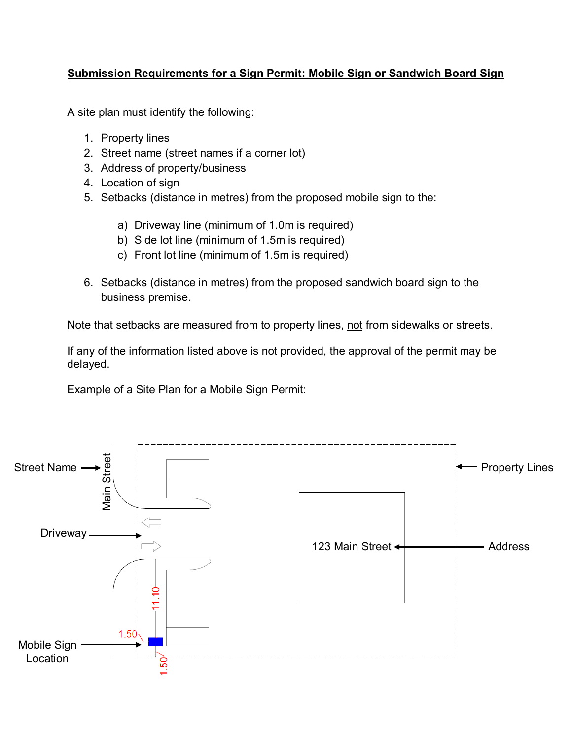## **Submission Requirements for a Sign Permit: Mobile Sign or Sandwich Board Sign**

A site plan must identify the following:

- 1. Property lines
- 2. Street name (street names if a corner lot)
- 3. Address of property/business
- 4. Location of sign
- 5. Setbacks (distance in metres) from the proposed mobile sign to the:
	- a) Driveway line (minimum of 1.0m is required)
	- b) Side lot line (minimum of 1.5m is required)
	- c) Front lot line (minimum of 1.5m is required)
- 6. Setbacks (distance in metres) from the proposed sandwich board sign to the business premise.

Note that setbacks are measured from to property lines, not from sidewalks or streets.

If any of the information listed above is not provided, the approval of the permit may be delayed.

Example of a Site Plan for a Mobile Sign Permit: